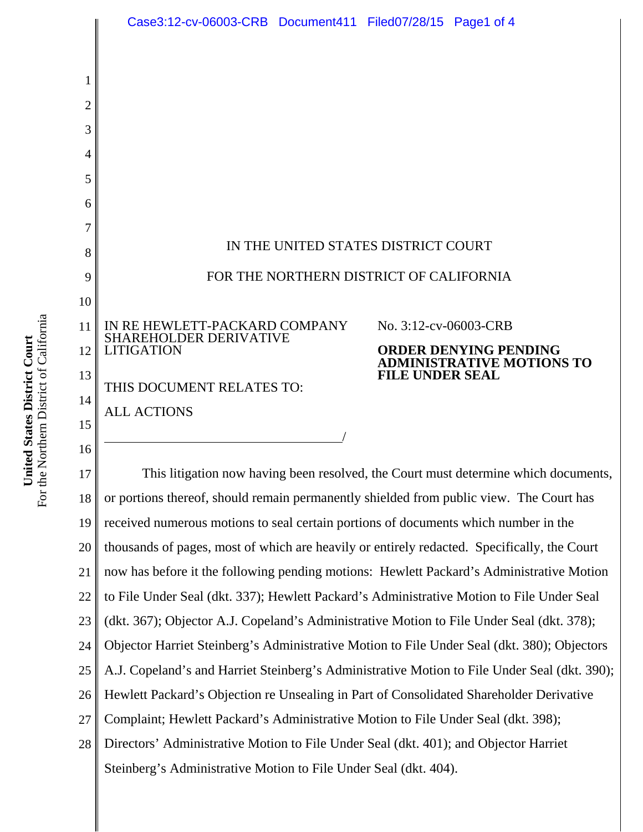

22 to File Under Seal (dkt. 337); Hewlett Packard's Administrative Motion to File Under Seal

23 24 (dkt. 367); Objector A.J. Copeland's Administrative Motion to File Under Seal (dkt. 378); Objector Harriet Steinberg's Administrative Motion to File Under Seal (dkt. 380); Objectors

25 A.J. Copeland's and Harriet Steinberg's Administrative Motion to File Under Seal (dkt. 390);

26 Hewlett Packard's Objection re Unsealing in Part of Consolidated Shareholder Derivative

27 Complaint; Hewlett Packard's Administrative Motion to File Under Seal (dkt. 398);

28 Directors' Administrative Motion to File Under Seal (dkt. 401); and Objector Harriet Steinberg's Administrative Motion to File Under Seal (dkt. 404).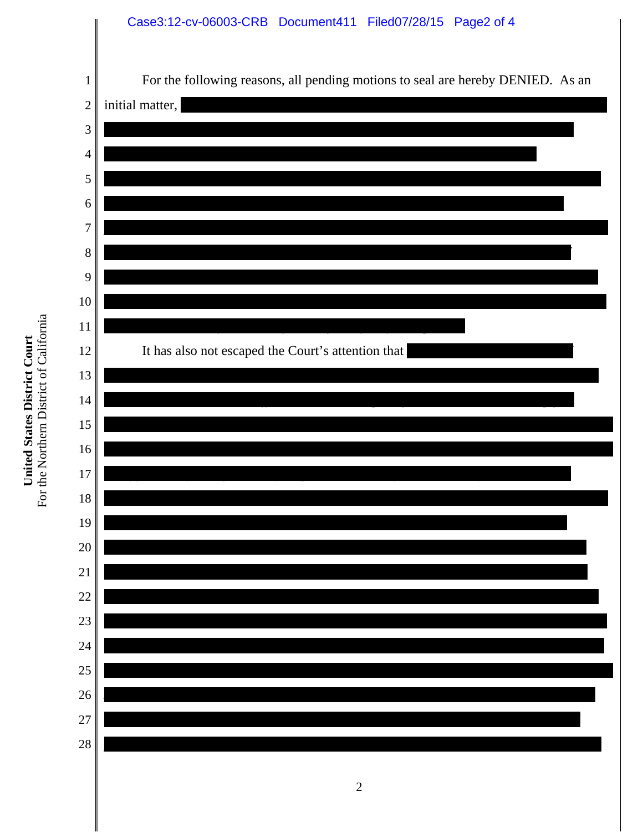## Case3:12-cv-06003-CRB Document411 Filed07/28/15 Page2 of 4

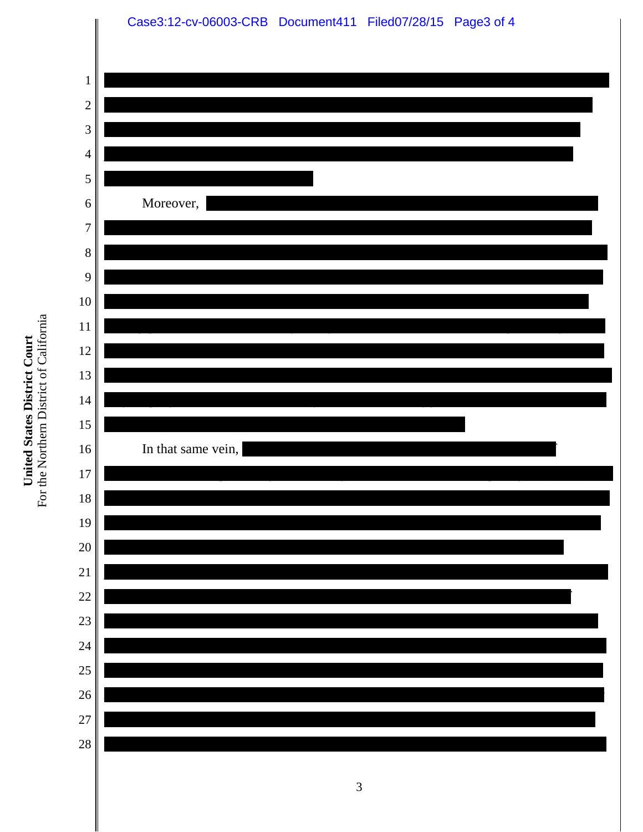